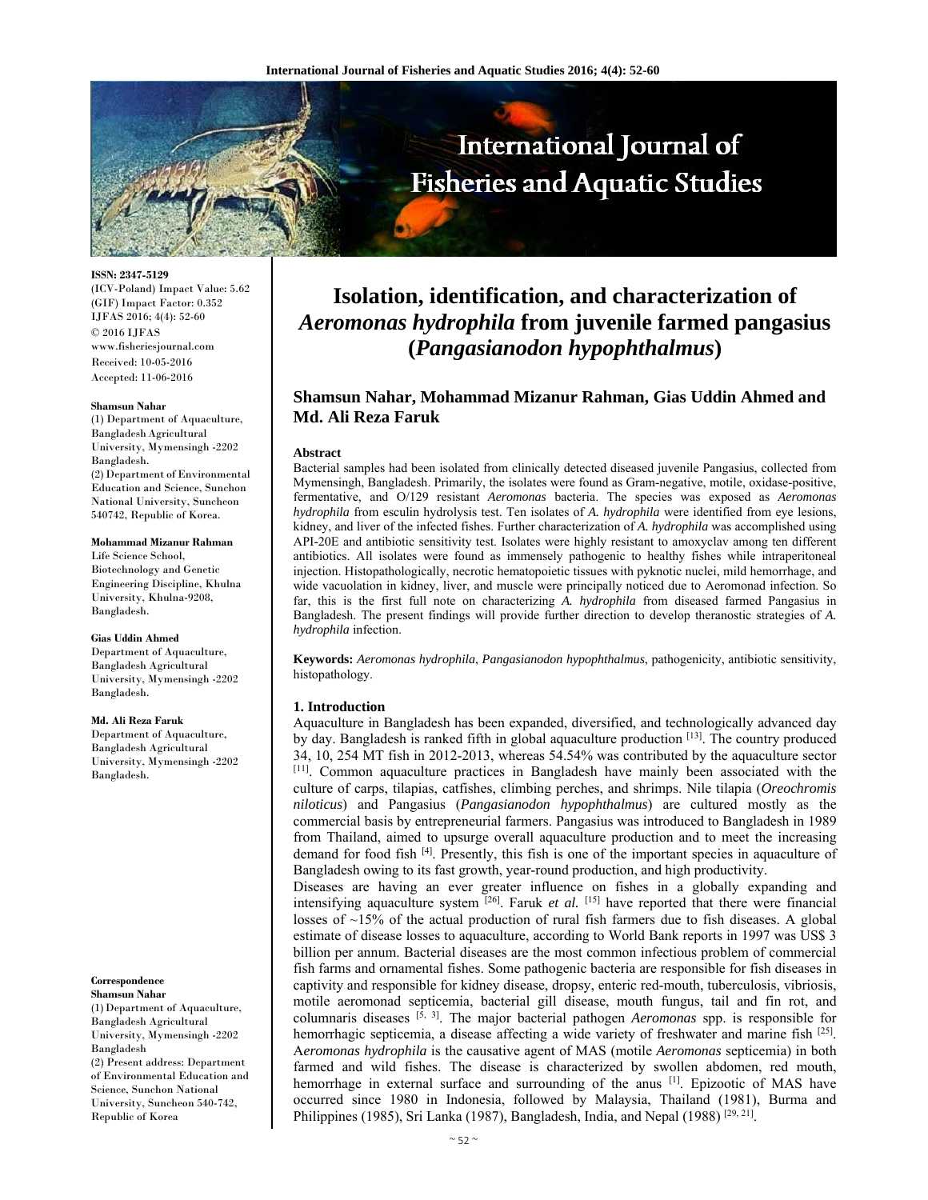

**ISSN: 2347-5129** 

(ICV-Poland) Impact Value: 5.62 (GIF) Impact Factor: 0.352 IJFAS 2016; 4(4): 52-60 © 2016 IJFAS www.fisheriesjournal.com Received: 10-05-2016 Accepted: 11-06-2016

#### **Shamsun Nahar**

(1) Department of Aquaculture, Bangladesh Agricultural University, Mymensingh -2202 Bangladesh. (2) Department of Environmental Education and Science, Sunchon National University, Suncheon 540742, Republic of Korea.

#### **Mohammad Mizanur Rahman**

Life Science School, Biotechnology and Genetic Engineering Discipline, Khulna University, Khulna-9208, Bangladesh.

#### **Gias Uddin Ahmed**

Department of Aquaculture, Bangladesh Agricultural University, Mymensingh -2202 Bangladesh.

#### **Md. Ali Reza Faruk**

Department of Aquaculture, Bangladesh Agricultural University, Mymensingh -2202 Bangladesh.

#### **Correspondence Shamsun Nahar**

(1)Department of Aquaculture, Bangladesh Agricultural University, Mymensingh -2202 Bangladesh (2) Present address: Department of Environmental Education and Science, Sunchon National University, Suncheon 540-742, Republic of Korea

# **Isolation, identification, and characterization of**  *Aeromonas hydrophila* **from juvenile farmed pangasius (***Pangasianodon hypophthalmus***)**

## **Shamsun Nahar, Mohammad Mizanur Rahman, Gias Uddin Ahmed and Md. Ali Reza Faruk**

#### **Abstract**

Bacterial samples had been isolated from clinically detected diseased juvenile Pangasius, collected from Mymensingh, Bangladesh. Primarily, the isolates were found as Gram-negative, motile, oxidase-positive, fermentative, and O/129 resistant *Aeromonas* bacteria. The species was exposed as *Aeromonas hydrophila* from esculin hydrolysis test. Ten isolates of *A. hydrophila* were identified from eye lesions, kidney, and liver of the infected fishes. Further characterization of *A. hydrophila* was accomplished using API-20E and antibiotic sensitivity test. Isolates were highly resistant to amoxyclav among ten different antibiotics. All isolates were found as immensely pathogenic to healthy fishes while intraperitoneal injection. Histopathologically, necrotic hematopoietic tissues with pyknotic nuclei, mild hemorrhage, and wide vacuolation in kidney, liver, and muscle were principally noticed due to Aeromonad infection. So far, this is the first full note on characterizing *A. hydrophila* from diseased farmed Pangasius in Bangladesh. The present findings will provide further direction to develop theranostic strategies of *A. hydrophila* infection.

**Keywords:** *Aeromonas hydrophila*, *Pangasianodon hypophthalmus*, pathogenicity, antibiotic sensitivity, histopathology.

#### **1. Introduction**

Aquaculture in Bangladesh has been expanded, diversified, and technologically advanced day by day. Bangladesh is ranked fifth in global aquaculture production  $[13]$ . The country produced 34, 10, 254 MT fish in 2012-2013, whereas 54.54% was contributed by the aquaculture sector [11]. Common aquaculture practices in Bangladesh have mainly been associated with the culture of carps, tilapias, catfishes, climbing perches, and shrimps. Nile tilapia (*Oreochromis niloticus*) and Pangasius (*Pangasianodon hypophthalmus*) are cultured mostly as the commercial basis by entrepreneurial farmers. Pangasius was introduced to Bangladesh in 1989 from Thailand, aimed to upsurge overall aquaculture production and to meet the increasing demand for food fish [4]. Presently, this fish is one of the important species in aquaculture of Bangladesh owing to its fast growth, year-round production, and high productivity.

Diseases are having an ever greater influence on fishes in a globally expanding and intensifying aquaculture system [26]. Faruk *et al.* [15] have reported that there were financial losses of  $\sim$ 15% of the actual production of rural fish farmers due to fish diseases. A global estimate of disease losses to aquaculture, according to World Bank reports in 1997 was US\$ 3 billion per annum. Bacterial diseases are the most common infectious problem of commercial fish farms and ornamental fishes. Some pathogenic bacteria are responsible for fish diseases in captivity and responsible for kidney disease, dropsy, enteric red-mouth, tuberculosis, vibriosis, motile aeromonad septicemia, bacterial gill disease, mouth fungus, tail and fin rot, and columnaris diseases  $\left[5, 3\right]$ . The major bacterial pathogen *Aeromonas* spp. is responsible for hemorrhagic septicemia, a disease affecting a wide variety of freshwater and marine fish [25]. A*eromonas hydrophila* is the causative agent of MAS (motile *Aeromonas* septicemia) in both farmed and wild fishes. The disease is characterized by swollen abdomen, red mouth, hemorrhage in external surface and surrounding of the anus [1]. Epizootic of MAS have occurred since 1980 in Indonesia, followed by Malaysia, Thailand (1981), Burma and Philippines (1985), Sri Lanka (1987), Bangladesh, India, and Nepal (1988)  $[29, 21]$ .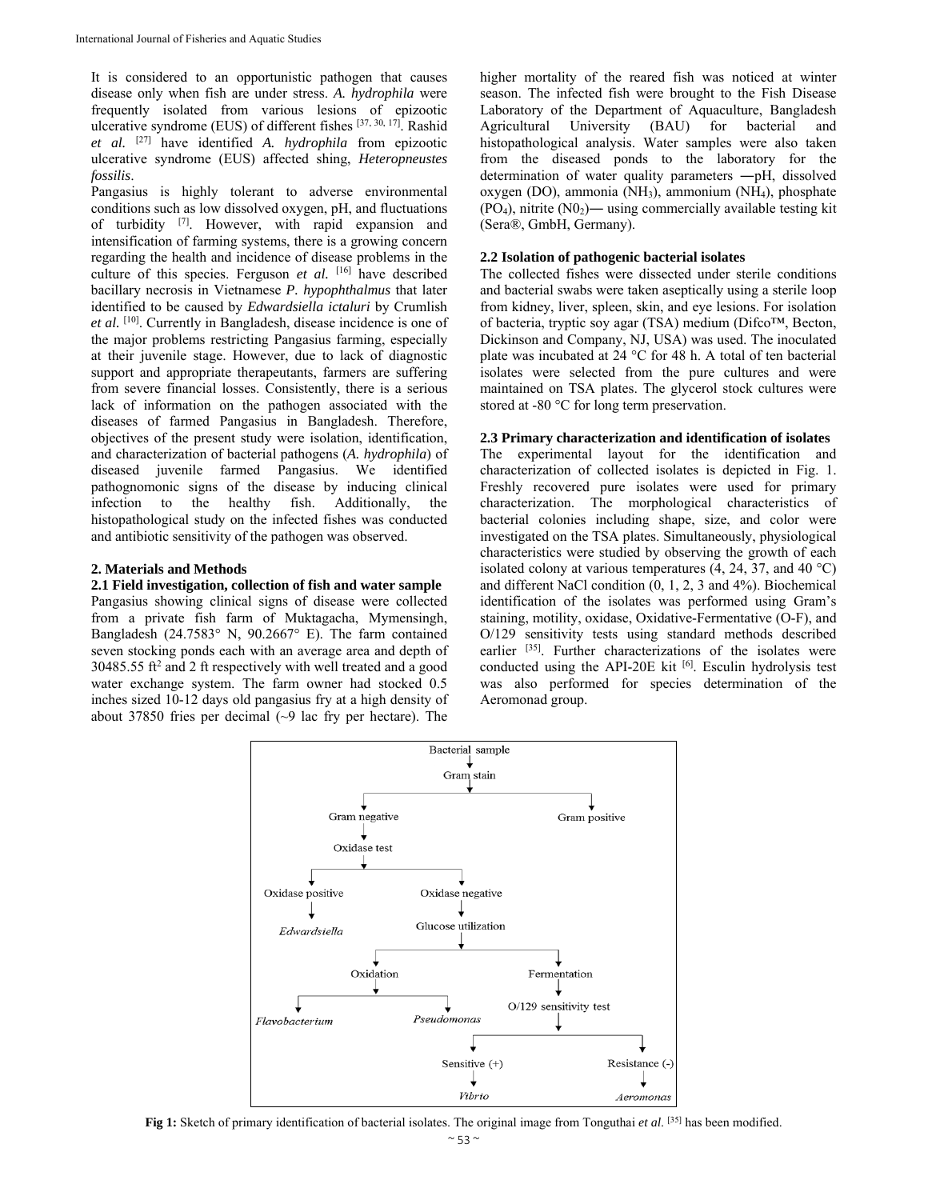It is considered to an opportunistic pathogen that causes disease only when fish are under stress. *A. hydrophila* were frequently isolated from various lesions of epizootic ulcerative syndrome (EUS) of different fishes [37, 30, 17]. Rashid *et al.* [27] have identified *A. hydrophila* from epizootic ulcerative syndrome (EUS) affected shing, *Heteropneustes fossilis*.

Pangasius is highly tolerant to adverse environmental conditions such as low dissolved oxygen, pH, and fluctuations of turbidity [7]. However, with rapid expansion and intensification of farming systems, there is a growing concern regarding the health and incidence of disease problems in the culture of this species. Ferguson *et al.* <sup>[16]</sup> have described bacillary necrosis in Vietnamese *P. hypophthalmus* that later identified to be caused by *Edwardsiella ictaluri* by Crumlish *et al.* [10]. Currently in Bangladesh, disease incidence is one of the major problems restricting Pangasius farming, especially at their juvenile stage. However, due to lack of diagnostic support and appropriate therapeutants, farmers are suffering from severe financial losses. Consistently, there is a serious lack of information on the pathogen associated with the diseases of farmed Pangasius in Bangladesh. Therefore, objectives of the present study were isolation, identification, and characterization of bacterial pathogens (*A. hydrophila*) of diseased juvenile farmed Pangasius. We identified pathognomonic signs of the disease by inducing clinical infection to the healthy fish. Additionally, the histopathological study on the infected fishes was conducted and antibiotic sensitivity of the pathogen was observed.

#### **2. Materials and Methods**

#### **2.1 Field investigation, collection of fish and water sample**

Pangasius showing clinical signs of disease were collected from a private fish farm of Muktagacha, Mymensingh, Bangladesh (24.7583° N, 90.2667° E). The farm contained seven stocking ponds each with an average area and depth of 30485.55 ft<sup>2</sup> and 2 ft respectively with well treated and a good water exchange system. The farm owner had stocked 0.5 inches sized 10-12 days old pangasius fry at a high density of about 37850 fries per decimal (~9 lac fry per hectare). The

higher mortality of the reared fish was noticed at winter season. The infected fish were brought to the Fish Disease Laboratory of the Department of Aquaculture, Bangladesh Agricultural University (BAU) for bacterial and histopathological analysis. Water samples were also taken from the diseased ponds to the laboratory for the determination of water quality parameters ―pH, dissolved oxygen (DO), ammonia (NH3), ammonium (NH4), phosphate  $(PO<sub>4</sub>)$ , nitrite  $(NO<sub>2</sub>)$ — using commercially available testing kit (Sera®, GmbH, Germany).

## **2.2 Isolation of pathogenic bacterial isolates**

The collected fishes were dissected under sterile conditions and bacterial swabs were taken aseptically using a sterile loop from kidney, liver, spleen, skin, and eye lesions. For isolation of bacteria, tryptic soy agar (TSA) medium (Difco™, Becton, Dickinson and Company, NJ, USA) was used. The inoculated plate was incubated at 24 °C for 48 h. A total of ten bacterial isolates were selected from the pure cultures and were maintained on TSA plates. The glycerol stock cultures were stored at -80 °C for long term preservation.

#### **2.3 Primary characterization and identification of isolates**

The experimental layout for the identification and characterization of collected isolates is depicted in Fig. 1. Freshly recovered pure isolates were used for primary characterization. The morphological characteristics of bacterial colonies including shape, size, and color were investigated on the TSA plates. Simultaneously, physiological characteristics were studied by observing the growth of each isolated colony at various temperatures  $(4, 24, 37,$  and  $40^{\circ}$ C) and different NaCl condition (0, 1, 2, 3 and 4%). Biochemical identification of the isolates was performed using Gram's staining, motility, oxidase, Oxidative-Fermentative (O-F), and O/129 sensitivity tests using standard methods described earlier <sup>[35]</sup>. Further characterizations of the isolates were conducted using the API-20E kit  $[6]$ . Esculin hydrolysis test was also performed for species determination of the Aeromonad group.



**Fig 1:** Sketch of primary identification of bacterial isolates. The original image from Tonguthai *et al*. [35] has been modified.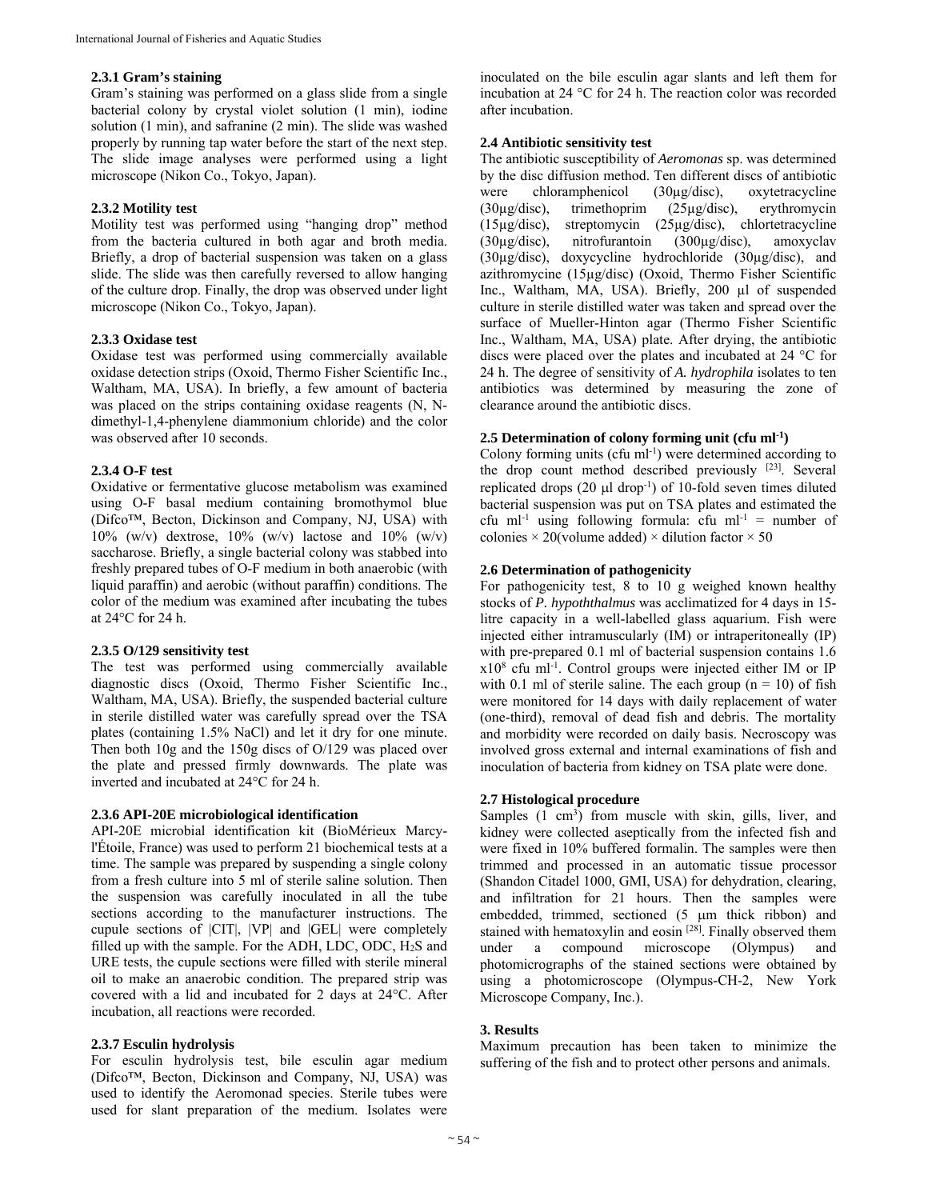### **2.3.1 Gram's staining**

Gram's staining was performed on a glass slide from a single bacterial colony by crystal violet solution (1 min), iodine solution (1 min), and safranine (2 min). The slide was washed properly by running tap water before the start of the next step. The slide image analyses were performed using a light microscope (Nikon Co., Tokyo, Japan).

## **2.3.2 Motility test**

Motility test was performed using "hanging drop" method from the bacteria cultured in both agar and broth media. Briefly, a drop of bacterial suspension was taken on a glass slide. The slide was then carefully reversed to allow hanging of the culture drop. Finally, the drop was observed under light microscope (Nikon Co., Tokyo, Japan).

#### **2.3.3 Oxidase test**

Oxidase test was performed using commercially available oxidase detection strips (Oxoid, Thermo Fisher Scientific Inc., Waltham, MA, USA). In briefly, a few amount of bacteria was placed on the strips containing oxidase reagents (N, Ndimethyl-1,4-phenylene diammonium chloride) and the color was observed after 10 seconds.

#### **2.3.4 O-F test**

Oxidative or fermentative glucose metabolism was examined using O-F basal medium containing bromothymol blue (Difco™, Becton, Dickinson and Company, NJ, USA) with  $10\%$  (w/v) dextrose,  $10\%$  (w/v) lactose and  $10\%$  (w/v) saccharose. Briefly, a single bacterial colony was stabbed into freshly prepared tubes of O-F medium in both anaerobic (with liquid paraffin) and aerobic (without paraffin) conditions. The color of the medium was examined after incubating the tubes at 24°C for 24 h.

## **2.3.5 O/129 sensitivity test**

The test was performed using commercially available diagnostic discs (Oxoid, Thermo Fisher Scientific Inc., Waltham, MA, USA). Briefly, the suspended bacterial culture in sterile distilled water was carefully spread over the TSA plates (containing 1.5% NaCl) and let it dry for one minute. Then both 10g and the 150g discs of O/129 was placed over the plate and pressed firmly downwards. The plate was inverted and incubated at 24°C for 24 h.

#### **2.3.6 API-20E microbiological identification**

API-20E microbial identification kit (BioMérieux Marcyl'Étoile, France) was used to perform 21 biochemical tests at a time. The sample was prepared by suspending a single colony from a fresh culture into 5 ml of sterile saline solution. Then the suspension was carefully inoculated in all the tube sections according to the manufacturer instructions. The cupule sections of |CIT|, |VP| and |GEL| were completely filled up with the sample. For the ADH, LDC, ODC,  $H_2S$  and URE tests, the cupule sections were filled with sterile mineral oil to make an anaerobic condition. The prepared strip was covered with a lid and incubated for 2 days at 24°C. After incubation, all reactions were recorded.

## **2.3.7 Esculin hydrolysis**

For esculin hydrolysis test, bile esculin agar medium (Difco™, Becton, Dickinson and Company, NJ, USA) was used to identify the Aeromonad species. Sterile tubes were used for slant preparation of the medium. Isolates were

inoculated on the bile esculin agar slants and left them for incubation at 24 °C for 24 h. The reaction color was recorded after incubation.

#### **2.4 Antibiotic sensitivity test**

The antibiotic susceptibility of *Aeromonas* sp. was determined by the disc diffusion method. Ten different discs of antibiotic were chloramphenicol (30µg/disc), oxytetracycline (30µg/disc), trimethoprim (25µg/disc), erythromycin (15µg/disc), streptomycin (25µg/disc), chlortetracycline (30µg/disc), nitrofurantoin (300µg/disc), amoxyclav (30µg/disc), doxycycline hydrochloride (30µg/disc), and azithromycine (15µg/disc) (Oxoid, Thermo Fisher Scientific Inc., Waltham, MA, USA). Briefly, 200 µl of suspended culture in sterile distilled water was taken and spread over the surface of Mueller-Hinton agar (Thermo Fisher Scientific Inc., Waltham, MA, USA) plate. After drying, the antibiotic discs were placed over the plates and incubated at 24 °C for 24 h. The degree of sensitivity of *A. hydrophila* isolates to ten antibiotics was determined by measuring the zone of clearance around the antibiotic discs.

#### **2.5 Determination of colony forming unit (cfu ml-1)**

Colony forming units (cfu ml<sup>-1</sup>) were determined according to the drop count method described previously [23]. Several replicated drops  $(20 \mu l \text{ drop}^{-1})$  of 10-fold seven times diluted bacterial suspension was put on TSA plates and estimated the cfu ml<sup>-1</sup> using following formula: cfu ml<sup>-1</sup> = number of colonies  $\times$  20(volume added)  $\times$  dilution factor  $\times$  50

#### **2.6 Determination of pathogenicity**

For pathogenicity test, 8 to 10 g weighed known healthy stocks of *P. hypoththalmus* was acclimatized for 4 days in 15 litre capacity in a well-labelled glass aquarium. Fish were injected either intramuscularly (IM) or intraperitoneally (IP) with pre-prepared 0.1 ml of bacterial suspension contains 1.6 x108 cfu ml-1. Control groups were injected either IM or IP with 0.1 ml of sterile saline. The each group  $(n = 10)$  of fish were monitored for 14 days with daily replacement of water (one-third), removal of dead fish and debris. The mortality and morbidity were recorded on daily basis. Necroscopy was involved gross external and internal examinations of fish and inoculation of bacteria from kidney on TSA plate were done.

#### **2.7 Histological procedure**

Samples (1 cm<sup>3</sup>) from muscle with skin, gills, liver, and kidney were collected aseptically from the infected fish and were fixed in 10% buffered formalin. The samples were then trimmed and processed in an automatic tissue processor (Shandon Citadel 1000, GMI, USA) for dehydration, clearing, and infiltration for 21 hours. Then the samples were embedded, trimmed, sectioned (5 µm thick ribbon) and stained with hematoxylin and eosin<sup>[28]</sup>. Finally observed them under a compound microscope (Olympus) and photomicrographs of the stained sections were obtained by using a photomicroscope (Olympus-CH-2, New York Microscope Company, Inc.).

#### **3. Results**

Maximum precaution has been taken to minimize the suffering of the fish and to protect other persons and animals.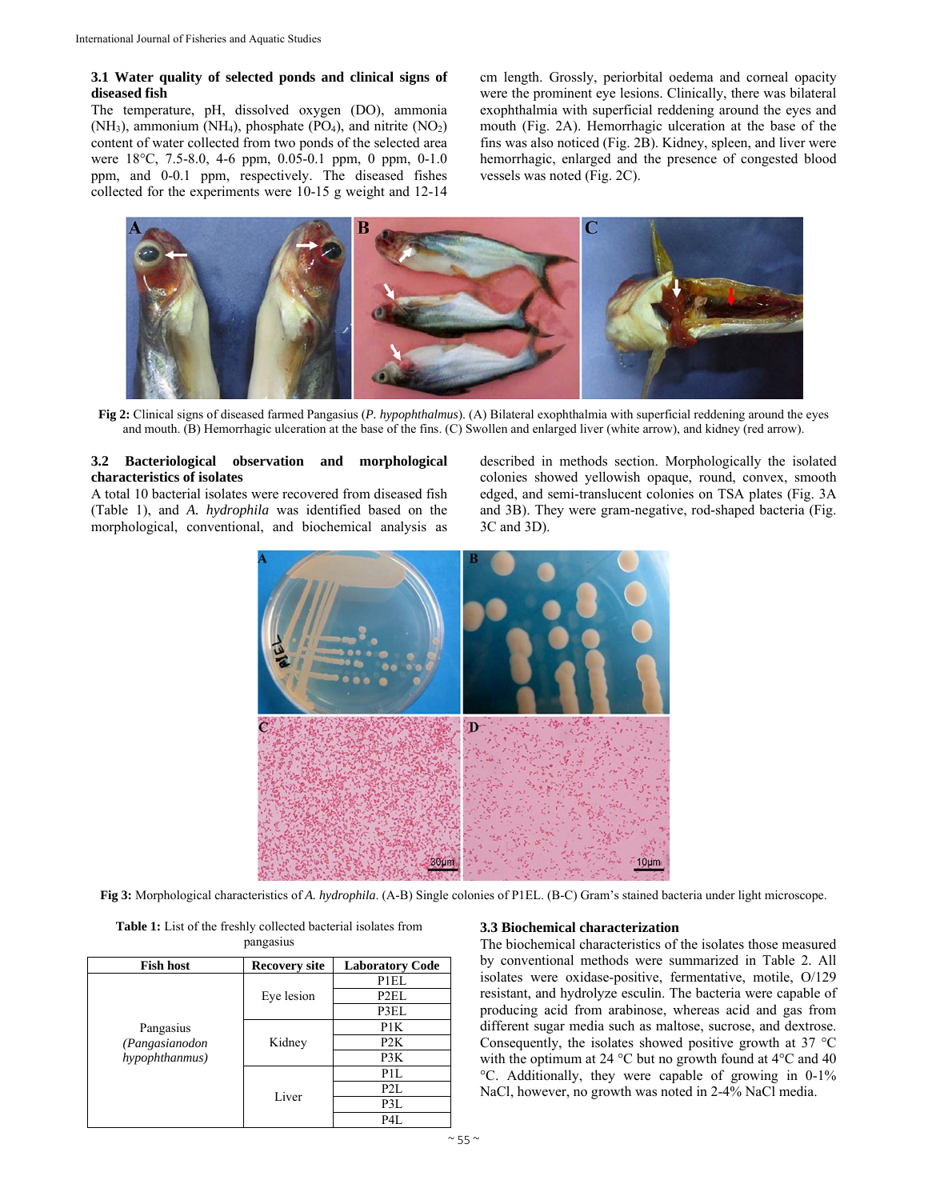#### **3.1 Water quality of selected ponds and clinical signs of diseased fish**

The temperature, pH, dissolved oxygen (DO), ammonia (NH<sub>3</sub>), ammonium (NH<sub>4</sub>), phosphate (PO<sub>4</sub>), and nitrite (NO<sub>2</sub>) content of water collected from two ponds of the selected area were 18°C, 7.5-8.0, 4-6 ppm, 0.05-0.1 ppm, 0 ppm, 0-1.0 ppm, and 0-0.1 ppm, respectively. The diseased fishes collected for the experiments were 10-15 g weight and 12-14 cm length. Grossly, periorbital oedema and corneal opacity were the prominent eye lesions. Clinically, there was bilateral exophthalmia with superficial reddening around the eyes and mouth (Fig. 2A). Hemorrhagic ulceration at the base of the fins was also noticed (Fig. 2B). Kidney, spleen, and liver were hemorrhagic, enlarged and the presence of congested blood vessels was noted (Fig. 2C).



**Fig 2:** Clinical signs of diseased farmed Pangasius (*P. hypophthalmus*). (A) Bilateral exophthalmia with superficial reddening around the eyes and mouth. (B) Hemorrhagic ulceration at the base of the fins. (C) Swollen and enlarged liver (white arrow), and kidney (red arrow).

## **3.2 Bacteriological observation and morphological characteristics of isolates**

A total 10 bacterial isolates were recovered from diseased fish (Table 1), and *A. hydrophila* was identified based on the morphological, conventional, and biochemical analysis as described in methods section. Morphologically the isolated colonies showed yellowish opaque, round, convex, smooth edged, and semi-translucent colonies on TSA plates (Fig. 3A and 3B). They were gram-negative, rod-shaped bacteria (Fig. 3C and 3D).



**Fig 3:** Morphological characteristics of *A. hydrophila*. (A-B) Single colonies of P1EL. (B-C) Gram's stained bacteria under light microscope.

| <b>Table 1:</b> List of the freshly collected bacterial isolates from |
|-----------------------------------------------------------------------|
| pangasius                                                             |

| <b>Fish host</b>                              | <b>Recovery site</b> | <b>Laboratory Code</b> |
|-----------------------------------------------|----------------------|------------------------|
| Pangasius<br>(Pangasianodon<br>hypophthanmus) |                      | P1EL                   |
|                                               | Eye lesion           | P <sub>2</sub> EL      |
|                                               |                      | P3EL                   |
|                                               |                      | P1K                    |
|                                               | Kidney               | P <sub>2</sub> K       |
|                                               |                      | P3K                    |
|                                               |                      | P <sub>1</sub> L       |
|                                               | Liver                | P2L                    |
|                                               |                      | P3L                    |
|                                               |                      | P4L                    |

#### **3.3 Biochemical characterization**

The biochemical characteristics of the isolates those measured by conventional methods were summarized in Table 2. All isolates were oxidase-positive, fermentative, motile, O/129 resistant, and hydrolyze esculin. The bacteria were capable of producing acid from arabinose, whereas acid and gas from different sugar media such as maltose, sucrose, and dextrose. Consequently, the isolates showed positive growth at 37 °C with the optimum at 24 °C but no growth found at 4°C and 40 °C. Additionally, they were capable of growing in 0-1% NaCl, however, no growth was noted in 2-4% NaCl media.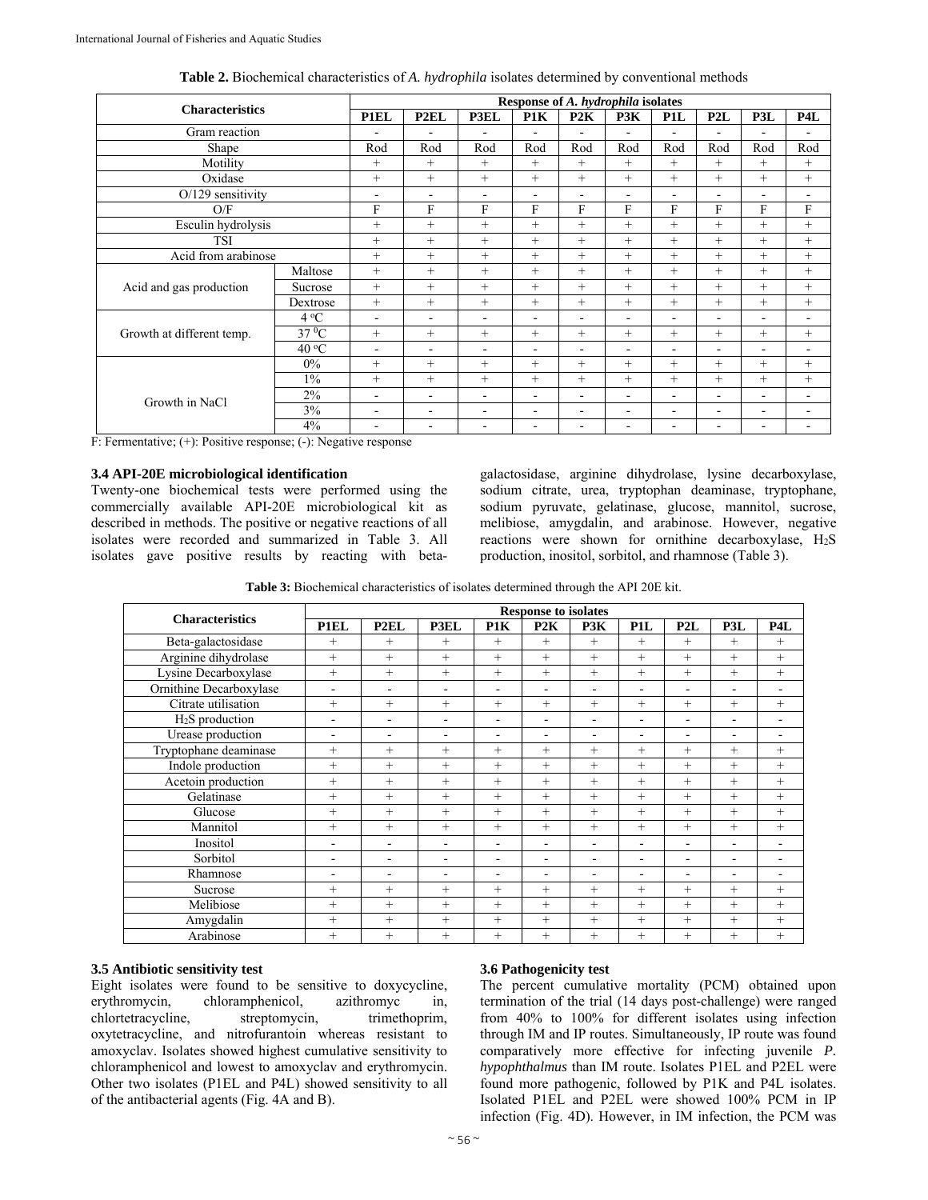| <b>Characteristics</b>    |              | Response of A. hydrophila isolates |                          |                              |                          |                          |                          |                          |                          |                          |                          |
|---------------------------|--------------|------------------------------------|--------------------------|------------------------------|--------------------------|--------------------------|--------------------------|--------------------------|--------------------------|--------------------------|--------------------------|
|                           |              | <b>P1EL</b>                        | P <sub>2EL</sub>         | P3EL                         | P1K                      | P2K                      | P3K                      | P <sub>1</sub> L         | P2L                      | P3L                      | P <sub>4</sub> L         |
| Gram reaction             |              |                                    | -                        |                              | $\overline{\phantom{0}}$ |                          | $\overline{\phantom{0}}$ | $\overline{\phantom{a}}$ |                          |                          |                          |
| Shape                     |              | Rod                                | Rod                      | Rod                          | Rod                      | Rod                      | Rod                      | Rod                      | Rod                      | Rod                      | Rod                      |
| Motility                  |              | $^{+}$                             | $+$                      | $^{+}$                       | $+$                      | $+$                      | $+$                      | $^{+}$                   | $^{+}$                   | $^{+}$                   | $+$                      |
| Oxidase                   |              | $^{+}$                             | $+$                      | $^{+}$                       | $+$                      | $+$                      | $^{+}$                   | $^{+}$                   | $^{+}$                   | $^{+}$                   | $+$                      |
| $O/129$ sensitivity       |              | $\overline{\phantom{a}}$           | $\blacksquare$           | $\overline{\phantom{a}}$     | $\overline{\phantom{a}}$ | ۰                        | ٠                        | $\blacksquare$           | $\overline{\phantom{a}}$ | $\overline{\phantom{a}}$ | $\overline{\phantom{a}}$ |
| O/F                       |              | F                                  | F                        | F                            | F                        | F                        | F                        | F                        | F                        | F                        | F                        |
| Esculin hydrolysis        |              | $^{+}$                             | $+$                      | $^{+}$                       | $^{+}$                   | $+$                      | $+$                      | $+$                      | $+$                      | $^{+}$                   | $^{+}$                   |
| <b>TSI</b>                |              | $+$                                | $+$                      | $^{+}$                       | $+$                      | $+$                      | $^{+}$                   | $^{+}$                   | $^{+}$                   | $^{+}$                   | $+$                      |
| Acid from arabinose       |              | $+$                                | $+$                      | $+$                          | $+$                      | $+$                      | $^{+}$                   | $+$                      | $^{+}$                   | $+$                      | $+$                      |
| Acid and gas production   | Maltose      | $^{+}$                             | $+$                      | $+$                          | $+$                      | $^{+}$                   | $^{+}$                   | $^{+}$                   | $^{+}$                   | $^{+}$                   | $+$                      |
|                           | Sucrose      | $^{+}$                             | $+$                      | $+$                          | $+$                      | $^{+}$                   | $^{+}$                   | $^{+}$                   | $^{+}$                   | $^{+}$                   | $+$                      |
|                           | Dextrose     | $+$                                | $+$                      | $^{+}$                       | $+$                      | $+$                      | $^{+}$                   | $+$                      | $+$                      | $+$                      | $^{+}$                   |
| Growth at different temp. | $4^{\circ}C$ | $\overline{\phantom{a}}$           | $\overline{\phantom{a}}$ | $\qquad \qquad \blacksquare$ | $\overline{\phantom{0}}$ | $\overline{\phantom{0}}$ | $\overline{\phantom{a}}$ | $\overline{\phantom{a}}$ | $\overline{\phantom{0}}$ | $\overline{\phantom{0}}$ | ۰                        |
|                           | $37\,^0C$    | $^{+}$                             | $+$                      | $+$                          | $+$                      | $+$                      | $+$                      | $^{+}$                   | $+$                      | $^{+}$                   | $+$                      |
|                           | 40 °C        | ٠                                  | ÷,                       | $\blacksquare$               | $\blacksquare$           | $\equiv$                 | ٠                        | $\blacksquare$           | $\blacksquare$           | $\overline{\phantom{a}}$ | ۰                        |
| Growth in NaCl            | $0\%$        | $^{+}$                             | $+$                      | $+$                          | $+$                      | $^{+}$                   | $+$                      | $^{+}$                   | $+$                      | $^{+}$                   | $^{+}$                   |
|                           | $1\%$        | $^{+}$                             | $+$                      | $+$                          | $+$                      | $+$                      | $^{+}$                   | $+$                      | $^{+}$                   | $^{+}$                   | $+$                      |
|                           | 2%           | $\overline{\phantom{0}}$           | $\overline{\phantom{a}}$ | ۰                            | $\overline{\phantom{a}}$ | ٠                        | $\overline{\phantom{a}}$ | $\blacksquare$           | $\overline{\phantom{a}}$ | $\overline{\phantom{a}}$ | $\overline{\phantom{0}}$ |
|                           | 3%           | $\overline{\phantom{0}}$           | $\overline{\phantom{a}}$ | ۰                            | $\overline{\phantom{a}}$ | ٠                        | $\overline{\phantom{a}}$ | $\blacksquare$           | $\overline{\phantom{a}}$ | $\overline{\phantom{0}}$ | $\blacksquare$           |
|                           | 4%           | $\overline{\phantom{0}}$           | $\overline{\phantom{a}}$ | $\overline{\phantom{a}}$     | $\overline{\phantom{a}}$ | $\overline{\phantom{0}}$ | $\overline{\phantom{a}}$ | $\blacksquare$           | $\overline{\phantom{a}}$ | ۰                        | $\overline{\phantom{a}}$ |

**Table 2.** Biochemical characteristics of *A. hydrophila* isolates determined by conventional methods

F: Fermentative; (+): Positive response; (-): Negative response

### **3.4 API-20E microbiological identification**

Twenty-one biochemical tests were performed using the commercially available API-20E microbiological kit as described in methods. The positive or negative reactions of all isolates were recorded and summarized in Table 3. All isolates gave positive results by reacting with betagalactosidase, arginine dihydrolase, lysine decarboxylase, sodium citrate, urea, tryptophan deaminase, tryptophane, sodium pyruvate, gelatinase, glucose, mannitol, sucrose, melibiose, amygdalin, and arabinose. However, negative reactions were shown for ornithine decarboxylase,  $H_2S$ production, inositol, sorbitol, and rhamnose (Table 3).

**Table 3:** Biochemical characteristics of isolates determined through the API 20E kit.

| <b>Characteristics</b>  | <b>Response to isolates</b> |                              |                          |                          |                          |                          |                  |                          |        |                          |  |
|-------------------------|-----------------------------|------------------------------|--------------------------|--------------------------|--------------------------|--------------------------|------------------|--------------------------|--------|--------------------------|--|
|                         | <b>P1EL</b>                 | P <sub>2EL</sub>             | P3EL                     | P1K                      | P2K                      | P3K                      | P <sub>1</sub> L | P2L                      | P3L    | P <sub>4</sub> L         |  |
| Beta-galactosidase      | $+$                         | $+$                          | $^{+}$                   | $^{+}$                   | $+$                      | $+$                      | $+$              | $+$                      | $^{+}$ | $^{+}$                   |  |
| Arginine dihydrolase    | $+$                         | $+$                          | $^{+}$                   | $+$                      | $+$                      | $^{+}$                   | $+$              | $+$                      | $+$    | $^{+}$                   |  |
| Lysine Decarboxylase    | $^{+}$                      | $+$                          | $^{+}$                   | $+$                      | $+$                      | $^{+}$                   | $+$              | $+$                      | $^{+}$ | $+$                      |  |
| Ornithine Decarboxylase |                             | ۰                            | ٠                        | $\blacksquare$           | $\overline{\phantom{0}}$ | $\overline{\phantom{0}}$ |                  | $\overline{\phantom{0}}$ | ۰      |                          |  |
| Citrate utilisation     | $+$                         | $+$                          | $^{+}$                   | $^{+}$                   | $+$                      | $+$                      | $+$              | $^{+}$                   | $^{+}$ | $^{+}$                   |  |
| $H2S$ production        | -                           | $\overline{\phantom{a}}$     | $\overline{\phantom{a}}$ | $\overline{\phantom{0}}$ | -                        | ٠                        | ۰                | ۰                        | ۰      |                          |  |
| Urease production       | ۰                           | ۰                            | ۰                        | $\overline{\phantom{0}}$ | ۰                        | ٠                        | ۰                | $\overline{\phantom{0}}$ | ۰      | -                        |  |
| Tryptophane deaminase   | $^{+}$                      | $+$                          | $+$                      | $+$                      | $^{+}$                   | $+$                      | $+$              | $+$                      | $+$    | $+$                      |  |
| Indole production       | $^{+}$                      | $^{+}$                       | $^{+}$                   | $^{+}$                   | $^{+}$                   | $^{+}$                   | $+$              | $+$                      | $+$    | $^{+}$                   |  |
| Acetoin production      | $+$                         | $+$                          | $^{+}$                   | $^{+}$                   | $+$                      | $^{+}$                   | $+$              | $+$                      | $+$    | $+$                      |  |
| Gelatinase              | $+$                         | $^{+}$                       | $+$                      | $+$                      | $+$                      | $^{+}$                   | $+$              | $+$                      | $+$    | $^{+}$                   |  |
| Glucose                 | $^{+}$                      | $^{+}$                       | $^{+}$                   | $^{+}$                   | $+$                      | $^{+}$                   | $+$              | $+$                      | $+$    | $+$                      |  |
| Mannitol                | $+$                         | $+$                          | $^{+}$                   | $+$                      | $+$                      | $^{+}$                   | $+$              | $+$                      | $+$    | $+$                      |  |
| Inositol                | -                           | $\qquad \qquad \blacksquare$ |                          | ۰                        | ۰                        | ٠                        |                  | ۰                        | -      |                          |  |
| Sorbitol                | $\overline{\phantom{0}}$    | ۰                            | ۰                        | $\overline{\phantom{0}}$ | ۰                        | ٠                        | ۰                | $\overline{\phantom{0}}$ | ۰      | $\overline{\phantom{a}}$ |  |
| Rhamnose                | -                           | $\qquad \qquad \blacksquare$ | ۰                        | ۰                        | -                        | ٠                        |                  | $\overline{\phantom{a}}$ | ۰      | $\overline{\phantom{0}}$ |  |
| Sucrose                 | $^{+}$                      | $^{+}$                       | $^{+}$                   | $^{+}$                   | $+$                      | $+$                      | $+$              | $+$                      | $+$    | $^{+}$                   |  |
| Melibiose               | $+$                         | $+$                          | $^{+}$                   | $+$                      | $+$                      | $+$                      | $+$              | $+$                      | $+$    | $+$                      |  |
| Amygdalin               | $+$                         | $+$                          | $^{+}$                   | $+$                      | $+$                      | $+$                      | $+$              | $+$                      | $+$    | $+$                      |  |
| Arabinose               | $+$                         | $^{+}$                       | $^{+}$                   | $^{+}$                   | $+$                      | $^{+}$                   | $+$              | $^{+}$                   | $+$    | $+$                      |  |

#### **3.5 Antibiotic sensitivity test**

Eight isolates were found to be sensitive to doxycycline, erythromycin, chloramphenicol, azithromyc in, chlortetracycline, streptomycin, trimethoprim, chlortetracycline, streptomycin, trimethoprim, oxytetracycline, and nitrofurantoin whereas resistant to amoxyclav. Isolates showed highest cumulative sensitivity to chloramphenicol and lowest to amoxyclav and erythromycin. Other two isolates (P1EL and P4L) showed sensitivity to all of the antibacterial agents (Fig. 4A and B).

#### **3.6 Pathogenicity test**

The percent cumulative mortality (PCM) obtained upon termination of the trial (14 days post-challenge) were ranged from 40% to 100% for different isolates using infection through IM and IP routes. Simultaneously, IP route was found comparatively more effective for infecting juvenile *P. hypophthalmus* than IM route. Isolates P1EL and P2EL were found more pathogenic, followed by P1K and P4L isolates. Isolated P1EL and P2EL were showed 100% PCM in IP infection (Fig. 4D). However, in IM infection, the PCM was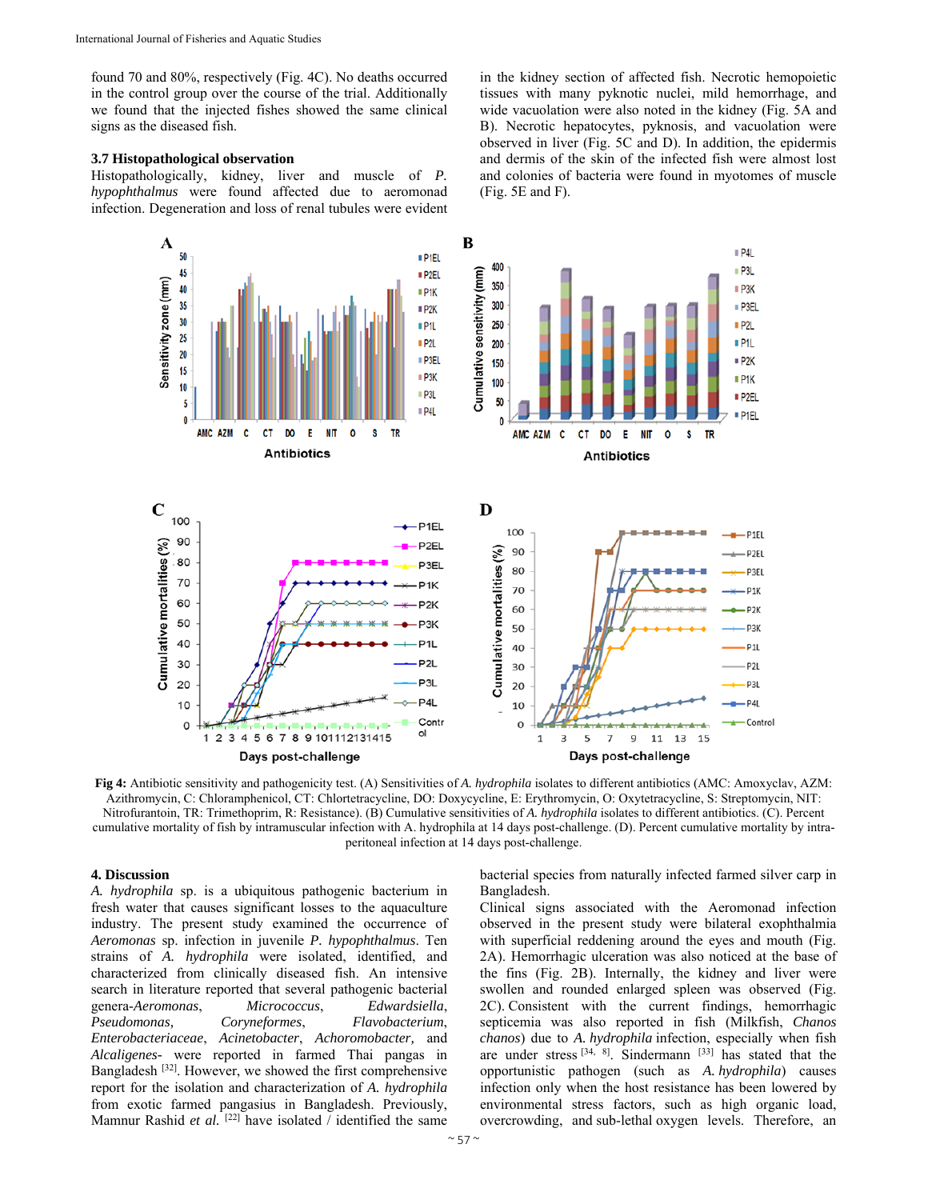found 70 and 80%, respectively (Fig. 4C). No deaths occurred in the control group over the course of the trial. Additionally we found that the injected fishes showed the same clinical signs as the diseased fish.

#### **3.7 Histopathological observation**

Histopathologically, kidney, liver and muscle of *P. hypophthalmus* were found affected due to aeromonad infection. Degeneration and loss of renal tubules were evident in the kidney section of affected fish. Necrotic hemopoietic tissues with many pyknotic nuclei, mild hemorrhage, and wide vacuolation were also noted in the kidney (Fig. 5A and B). Necrotic hepatocytes, pyknosis, and vacuolation were observed in liver (Fig. 5C and D). In addition, the epidermis and dermis of the skin of the infected fish were almost lost and colonies of bacteria were found in myotomes of muscle (Fig. 5E and F).



**Fig 4:** Antibiotic sensitivity and pathogenicity test. (A) Sensitivities of *A. hydrophila* isolates to different antibiotics (AMC: Amoxyclav, AZM: Azithromycin, C: Chloramphenicol, CT: Chlortetracycline, DO: Doxycycline, E: Erythromycin, O: Oxytetracycline, S: Streptomycin, NIT: Nitrofurantoin, TR: Trimethoprim, R: Resistance). (B) Cumulative sensitivities of *A. hydrophila* isolates to different antibiotics. (C). Percent cumulative mortality of fish by intramuscular infection with A. hydrophila at 14 days post-challenge. (D). Percent cumulative mortality by intraperitoneal infection at 14 days post-challenge.

#### **4. Discussion**

*A. hydrophila* sp. is a ubiquitous pathogenic bacterium in fresh water that causes significant losses to the aquaculture industry. The present study examined the occurrence of *Aeromonas* sp. infection in juvenile *P. hypophthalmus*. Ten strains of *A. hydrophila* were isolated, identified, and characterized from clinically diseased fish. An intensive search in literature reported that several pathogenic bacterial genera-*Aeromonas*, *Micrococcus*, *Edwardsiella*, *Pseudomonas, Coryneformes*, *Flavobacterium*, *Enterobacteriaceae*, *Acinetobacter*, *Achoromobacter,* and *Alcaligenes-* were reported in farmed Thai pangas in Bangladesh [32]. However, we showed the first comprehensive report for the isolation and characterization of *A. hydrophila* from exotic farmed pangasius in Bangladesh. Previously, Mamnur Rashid *et al.* <sup>[22]</sup> have isolated / identified the same

bacterial species from naturally infected farmed silver carp in Bangladesh.

Clinical signs associated with the Aeromonad infection observed in the present study were bilateral exophthalmia with superficial reddening around the eyes and mouth (Fig. 2A). Hemorrhagic ulceration was also noticed at the base of the fins (Fig. 2B). Internally, the kidney and liver were swollen and rounded enlarged spleen was observed (Fig. 2C). Consistent with the current findings, hemorrhagic septicemia was also reported in fish (Milkfish, *Chanos chanos*) due to *A. hydrophila* infection, especially when fish are under stress  $[34, 8]$ . Sindermann  $[33]$  has stated that the opportunistic pathogen (such as *A. hydrophila*) causes infection only when the host resistance has been lowered by environmental stress factors, such as high organic load, overcrowding, and sub-lethal oxygen levels. Therefore, an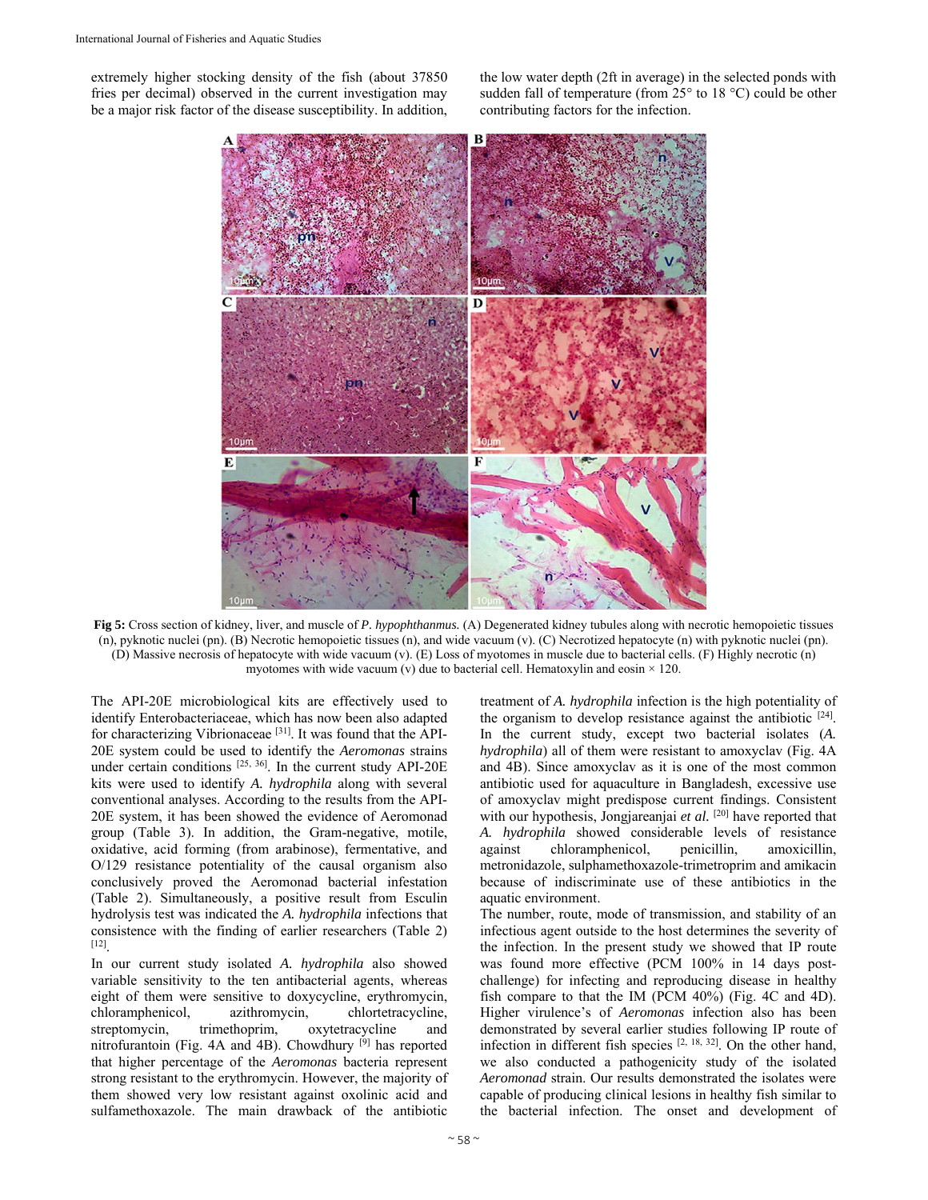extremely higher stocking density of the fish (about 37850 fries per decimal) observed in the current investigation may be a major risk factor of the disease susceptibility. In addition, the low water depth (2ft in average) in the selected ponds with sudden fall of temperature (from 25° to 18 °C) could be other contributing factors for the infection.



**Fig 5:** Cross section of kidney, liver, and muscle of *P. hypophthanmus.* (A) Degenerated kidney tubules along with necrotic hemopoietic tissues (n), pyknotic nuclei (pn). (B) Necrotic hemopoietic tissues (n), and wide vacuum (v). (C) Necrotized hepatocyte (n) with pyknotic nuclei (pn). (D) Massive necrosis of hepatocyte with wide vacuum (v). (E) Loss of myotomes in muscle due to bacterial cells. (F) Highly necrotic (n) myotomes with wide vacuum (v) due to bacterial cell. Hematoxylin and eosin  $\times$  120.

The API-20E microbiological kits are effectively used to identify Enterobacteriaceae, which has now been also adapted for characterizing Vibrionaceae [31]. It was found that the API-20E system could be used to identify the *Aeromonas* strains under certain conditions [25, 36]. In the current study API-20E kits were used to identify *A. hydrophila* along with several conventional analyses. According to the results from the API-20E system, it has been showed the evidence of Aeromonad group (Table 3). In addition, the Gram-negative, motile, oxidative, acid forming (from arabinose), fermentative, and O/129 resistance potentiality of the causal organism also conclusively proved the Aeromonad bacterial infestation (Table 2). Simultaneously, a positive result from Esculin hydrolysis test was indicated the *A. hydrophila* infections that consistence with the finding of earlier researchers (Table 2) [12].

In our current study isolated *A. hydrophila* also showed variable sensitivity to the ten antibacterial agents, whereas eight of them were sensitive to doxycycline, erythromycin, chloramphenicol, azithromycin, chlortetracycline, streptomycin, trimethoprim, oxytetracycline and nitrofurantoin (Fig. 4A and 4B). Chowdhury [9] has reported that higher percentage of the *Aeromonas* bacteria represent strong resistant to the erythromycin. However, the majority of them showed very low resistant against oxolinic acid and sulfamethoxazole. The main drawback of the antibiotic

treatment of *A. hydrophila* infection is the high potentiality of the organism to develop resistance against the antibiotic  $[24]$ . In the current study, except two bacterial isolates (*A. hydrophila*) all of them were resistant to amoxyclav (Fig. 4A and 4B). Since amoxyclav as it is one of the most common antibiotic used for aquaculture in Bangladesh, excessive use of amoxyclav might predispose current findings. Consistent with our hypothesis, Jongjareanjai et al. <sup>[20]</sup> have reported that *A. hydrophila* showed considerable levels of resistance against chloramphenicol, penicillin, amoxicillin, metronidazole, sulphamethoxazole-trimetroprim and amikacin because of indiscriminate use of these antibiotics in the aquatic environment.

The number, route, mode of transmission, and stability of an infectious agent outside to the host determines the severity of the infection. In the present study we showed that IP route was found more effective (PCM 100% in 14 days postchallenge) for infecting and reproducing disease in healthy fish compare to that the IM (PCM 40%) (Fig. 4C and 4D). Higher virulence's of *Aeromonas* infection also has been demonstrated by several earlier studies following IP route of infection in different fish species [2, 18, 32]. On the other hand, we also conducted a pathogenicity study of the isolated *Aeromonad* strain. Our results demonstrated the isolates were capable of producing clinical lesions in healthy fish similar to the bacterial infection. The onset and development of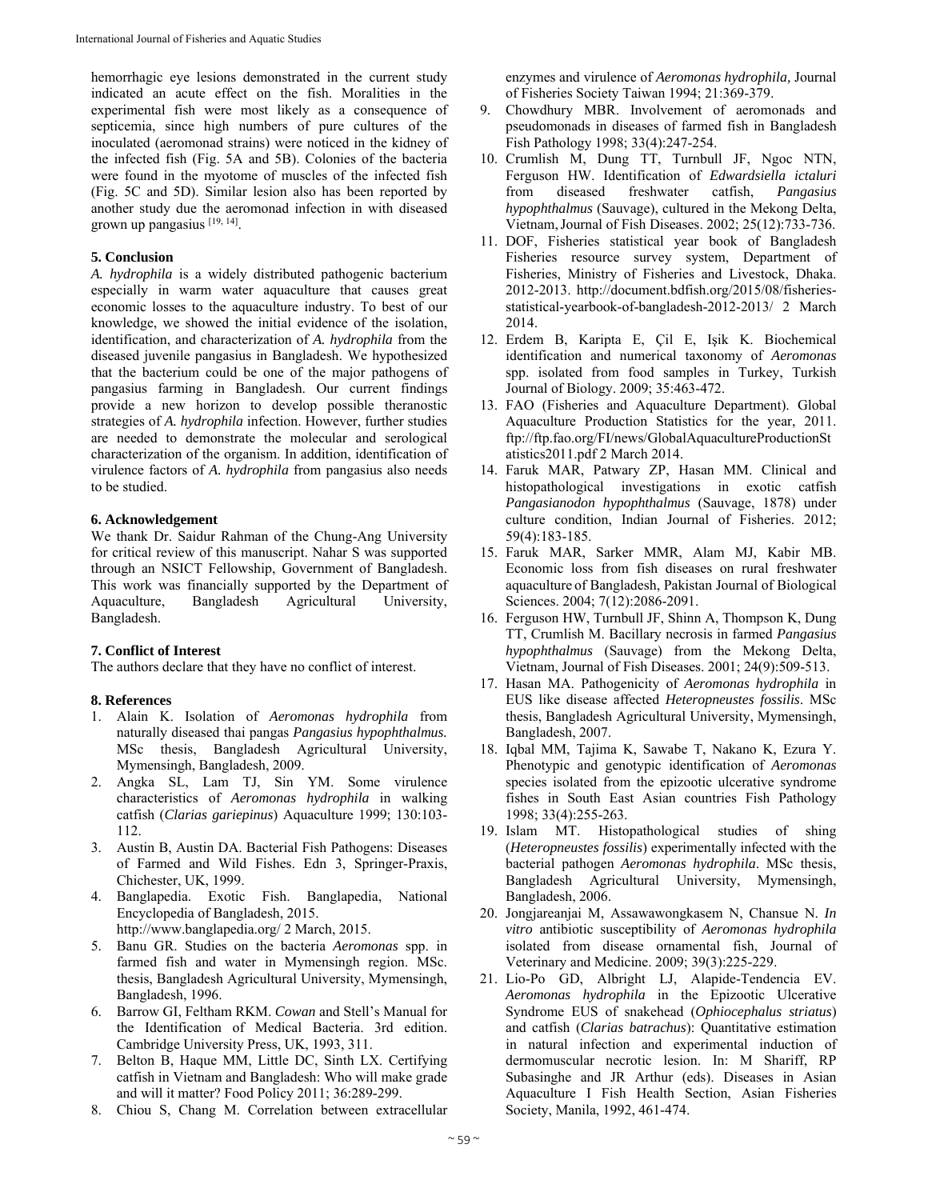hemorrhagic eye lesions demonstrated in the current study indicated an acute effect on the fish. Moralities in the experimental fish were most likely as a consequence of septicemia, since high numbers of pure cultures of the inoculated (aeromonad strains) were noticed in the kidney of the infected fish (Fig. 5A and 5B). Colonies of the bacteria were found in the myotome of muscles of the infected fish (Fig. 5C and 5D). Similar lesion also has been reported by another study due the aeromonad infection in with diseased grown up pangasius [19, 14].

#### **5. Conclusion**

*A. hydrophila* is a widely distributed pathogenic bacterium especially in warm water aquaculture that causes great economic losses to the aquaculture industry. To best of our knowledge, we showed the initial evidence of the isolation, identification, and characterization of *A. hydrophila* from the diseased juvenile pangasius in Bangladesh. We hypothesized that the bacterium could be one of the major pathogens of pangasius farming in Bangladesh. Our current findings provide a new horizon to develop possible theranostic strategies of *A. hydrophila* infection. However, further studies are needed to demonstrate the molecular and serological characterization of the organism. In addition, identification of virulence factors of *A. hydrophila* from pangasius also needs to be studied.

#### **6. Acknowledgement**

We thank Dr. Saidur Rahman of the Chung-Ang University for critical review of this manuscript. Nahar S was supported through an NSICT Fellowship, Government of Bangladesh. This work was financially supported by the Department of Aquaculture, Bangladesh Agricultural University, Bangladesh.

## **7. Conflict of Interest**

The authors declare that they have no conflict of interest.

#### **8. References**

- 1. Alain K. Isolation of *Aeromonas hydrophila* from naturally diseased thai pangas *Pangasius hypophthalmus.*  MSc thesis, Bangladesh Agricultural University, Mymensingh, Bangladesh, 2009.
- 2. Angka SL, Lam TJ, Sin YM. Some virulence characteristics of *Aeromonas hydrophila* in walking catfish (*Clarias gariepinus*) Aquaculture 1999; 130:103- 112.
- 3. Austin B, Austin DA. Bacterial Fish Pathogens: Diseases of Farmed and Wild Fishes. Edn 3, Springer-Praxis, Chichester, UK, 1999.
- 4. Banglapedia. Exotic Fish. Banglapedia, National Encyclopedia of Bangladesh, 2015.
	- http://www.banglapedia.org/ 2 March, 2015.
- 5. Banu GR. Studies on the bacteria *Aeromonas* spp. in farmed fish and water in Mymensingh region. MSc. thesis, Bangladesh Agricultural University, Mymensingh, Bangladesh, 1996.
- 6. Barrow GI, Feltham RKM. *Cowan* and Stell's Manual for the Identification of Medical Bacteria. 3rd edition. Cambridge University Press, UK, 1993, 311.
- 7. Belton B, Haque MM, Little DC, Sinth LX. Certifying catfish in Vietnam and Bangladesh: Who will make grade and will it matter? Food Policy 2011; 36:289-299.
- 8. Chiou S, Chang M. Correlation between extracellular

enzymes and virulence of *Aeromonas hydrophila,* Journal of Fisheries Society Taiwan 1994; 21:369-379.

- 9. Chowdhury MBR. Involvement of aeromonads and pseudomonads in diseases of farmed fish in Bangladesh Fish Pathology 1998; 33(4):247-254.
- 10. Crumlish M, Dung TT, Turnbull JF, Ngoc NTN, Ferguson HW. Identification of *Edwardsiella ictaluri*  from diseased freshwater catfish, *Pangasius hypophthalmus* (Sauvage), cultured in the Mekong Delta, Vietnam,Journal of Fish Diseases. 2002; 25(12):733-736.
- 11. DOF, Fisheries statistical year book of Bangladesh Fisheries resource survey system, Department of Fisheries, Ministry of Fisheries and Livestock, Dhaka. 2012-2013. http://document.bdfish.org/2015/08/fisheriesstatistical-yearbook-of-bangladesh-2012-2013/ 2 March 2014.
- 12. Erdem B, Karipta E, Çil E, Işik K. Biochemical identification and numerical taxonomy of *Aeromonas* spp. isolated from food samples in Turkey, Turkish Journal of Biology. 2009; 35:463-472.
- 13. FAO (Fisheries and Aquaculture Department). Global Aquaculture Production Statistics for the year, 2011. ftp://ftp.fao.org/FI/news/GlobalAquacultureProductionSt atistics2011.pdf 2 March 2014.
- 14. Faruk MAR, Patwary ZP, Hasan MM. Clinical and histopathological investigations in exotic catfish *Pangasianodon hypophthalmus* (Sauvage, 1878) under culture condition, Indian Journal of Fisheries. 2012; 59(4):183-185.
- 15. Faruk MAR, Sarker MMR, Alam MJ, Kabir MB. Economic loss from fish diseases on rural freshwater aquaculture of Bangladesh, Pakistan Journal of Biological Sciences. 2004; 7(12):2086-2091.
- 16. Ferguson HW, Turnbull JF, Shinn A, Thompson K, Dung TT, Crumlish M. Bacillary necrosis in farmed *Pangasius hypophthalmus* (Sauvage) from the Mekong Delta, Vietnam, Journal of Fish Diseases. 2001; 24(9):509-513.
- 17. Hasan MA. Pathogenicity of *Aeromonas hydrophila* in EUS like disease affected *Heteropneustes fossilis*. MSc thesis, Bangladesh Agricultural University, Mymensingh, Bangladesh, 2007.
- 18. Iqbal MM, Tajima K, Sawabe T, Nakano K, Ezura Y. Phenotypic and genotypic identification of *Aeromonas*  species isolated from the epizootic ulcerative syndrome fishes in South East Asian countries Fish Pathology 1998; 33(4):255-263.
- 19. Islam MT. Histopathological studies of shing (*Heteropneustes fossilis*) experimentally infected with the bacterial pathogen *Aeromonas hydrophila*. MSc thesis, Bangladesh Agricultural University, Mymensingh, Bangladesh, 2006.
- 20. Jongjareanjai M, Assawawongkasem N, Chansue N. *In vitro* antibiotic susceptibility of *Aeromonas hydrophila*  isolated from disease ornamental fish, Journal of Veterinary and Medicine. 2009; 39(3):225-229.
- 21. Lio-Po GD, Albright LJ, Alapide-Tendencia EV. *Aeromonas hydrophila* in the Epizootic Ulcerative Syndrome EUS of snakehead (*Ophiocephalus striatus*) and catfish (*Clarias batrachus*): Quantitative estimation in natural infection and experimental induction of dermomuscular necrotic lesion. In: M Shariff, RP Subasinghe and JR Arthur (eds). Diseases in Asian Aquaculture I Fish Health Section, Asian Fisheries Society, Manila, 1992, 461-474.